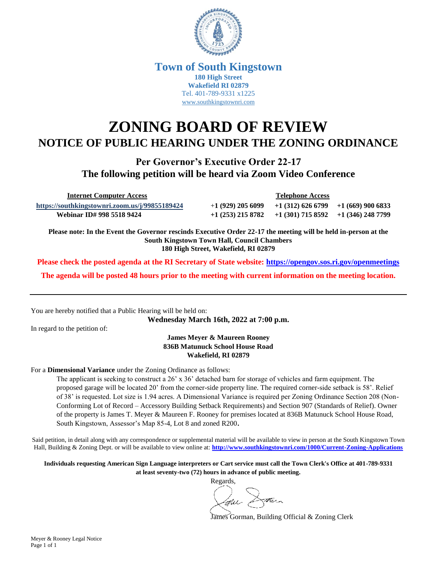

## **Town of South Kingstown 180 High Street Wakefield RI 02879** Tel. 401-789-9331 x1225 [www.southkingstownri.com](http://www.southkingstownri.com/)

## **ZONING BOARD OF REVIEW NOTICE OF PUBLIC HEARING UNDER THE ZONING ORDINANCE**

**Per Governor's Executive Order 22-17 The following petition will be heard via Zoom Video Conference**

 **Internet Computer Access Telephone Access**

**<https://southkingstownri.zoom.us/j/99855189424>** +**1 (929) 205 6099 +1 (312) 626 6799 +1 (669) 900 6833 Webinar ID# 998 5518 9424 +1 (253) 215 8782 +1 (301) 715 8592 +1 (346) 248 7799** 

**Please note: In the Event the Governor rescinds Executive Order 22-17 the meeting will be held in-person at the South Kingstown Town Hall, Council Chambers 180 High Street, Wakefield, RI 02879**

**Please check the posted agenda at the RI Secretary of State website:<https://opengov.sos.ri.gov/openmeetings>**

**The agenda will be posted 48 hours prior to the meeting with current information on the meeting location.**

You are hereby notified that a Public Hearing will be held on:

**Wednesday March 16th, 2022 at 7:00 p.m.**

In regard to the petition of:

**James Meyer & Maureen Rooney 836B Matunuck School House Road Wakefield, RI 02879**

For a **Dimensional Variance** under the Zoning Ordinance as follows:

The applicant is seeking to construct a 26' x 36' detached barn for storage of vehicles and farm equipment. The proposed garage will be located 20' from the corner-side property line. The required corner-side setback is 58'. Relief of 38' is requested. Lot size is 1.94 acres. A Dimensional Variance is required per Zoning Ordinance Section 208 (Non-Conforming Lot of Record – Accessory Building Setback Requirements) and Section 907 (Standards of Relief). Owner of the property is James T. Meyer & Maureen F. Rooney for premises located at 836B Matunuck School House Road, South Kingstown, Assessor's Map 85-4, Lot 8 and zoned R200.

Said petition, in detail along with any correspondence or supplemental material will be available to view in person at the South Kingstown Town Hall, Building & Zoning Dept. or will be available to view online at: **<http://www.southkingstownri.com/1000/Current-Zoning-Applications>**

**Individuals requesting American Sign Language interpreters or Cart service must call the Town Clerk's Office at 401-789-9331 at least seventy-two (72) hours in advance of public meeting.**

Regards,

James Gorman, Building Official & Zoning Clerk